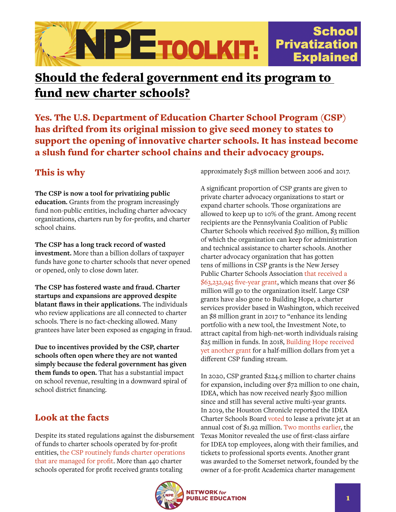## **School** NPETOOLKIT: **Privatization Explained**

# Should the federal government end its program to fund new charter schools?

Yes. The U.S. Department of Education Charter School Program (CSP) has drifted from its original mission to give seed money to states to support the opening of innovative charter schools. It has instead become a slush fund for charter school chains and their advocacy groups.

## This is why

#### **The CSP is now a tool for privatizing public**

**education.** Grants from the program increasingly fund non-public entities, including charter advocacy organizations, charters run by for-profits, and charter school chains.

**The CSP has a long track record of wasted investment.** More than a billion dollars of taxpayer funds have gone to charter schools that never opened or opened, only to close down later.

**The CSP has fostered waste and fraud. Charter startups and expansions are approved despite blatant flaws in their applications.** The individuals who review applications are all connected to charter schools. There is no fact-checking allowed. Many grantees have later been exposed as engaging in fraud.

**Due to incentives provided by the CSP, charter schools often open where they are not wanted simply because the federal government has given them funds to open.** That has a substantial impact on school revenue, resulting in a downward spiral of school district financing.

## Look at the facts

Despite its stated regulations against the disbursement of funds to charter schools operated by for-profit entities, [the CSP routinely funds charter operations](https://networkforpubliceducation.org/chartered-for-profit/)  [that are managed for profit](https://networkforpubliceducation.org/chartered-for-profit/). More than 440 charter schools operated for profit received grants totaling

approximately \$158 million between 2006 and 2017.

A significant proportion of CSP grants are given to private charter advocacy organizations to start or expand charter schools. Those organizations are allowed to keep up to 10% of the grant. Among recent recipients are the Pennsylvania Coalition of Public Charter Schools which received \$30 million, \$3 million of which the organization can keep for administration and technical assistance to charter schools. Another charter advocacy organization that has gotten tens of millions in CSP grants is the New Jersey Public Charter Schools Association [that received a](https://www.washingtonpost.com/education/2020/12/03/how-soccer-club-won-126-million-grant-devoss-education-department-open-charter-school/)  [\\$63,232,945 five-year grant,](https://www.washingtonpost.com/education/2020/12/03/how-soccer-club-won-126-million-grant-devoss-education-department-open-charter-school/) which means that over \$6 million will go to the organization itself. Large CSP grants have also gone to Building Hope, a charter services provider based in Washington, which received an \$8 million grant in 2017 to "enhance its lending portfolio with a new tool, the Investment Note, to attract capital from high-net-worth individuals raising \$25 million in funds. In 2018, [Building Hope received](https://www.washingtonpost.com/education/2019/07/31/many-ways-one-powerful-nonprofit-organization-its-leader-help-charter-schools/)  [yet another grant](https://www.washingtonpost.com/education/2019/07/31/many-ways-one-powerful-nonprofit-organization-its-leader-help-charter-schools/) for a half-million dollars from yet a different CSP funding stream.

In 2020, CSP granted \$224.5 million to charter chains for expansion, including over \$72 million to one chain, IDEA, which has now received nearly \$300 million since and still has several active multi-year grants. In 2019, the Houston Chronicle reported the IDEA Charter Schools Board [voted](https://vimeo.com/379068081) to lease a private jet at an annual cost of \$1.92 million. [Two months earlier,](https://www.washingtonpost.com/education/2020/01/27/5-most-serious-charter-school-scandals-2019-why-they-matter/) the Texas Monitor revealed the use of first-class airfare for IDEA top employees, along with their families, and tickets to professional sports events. Another grant was awarded to the Somerset network, founded by the owner of a for-profit Academica charter management